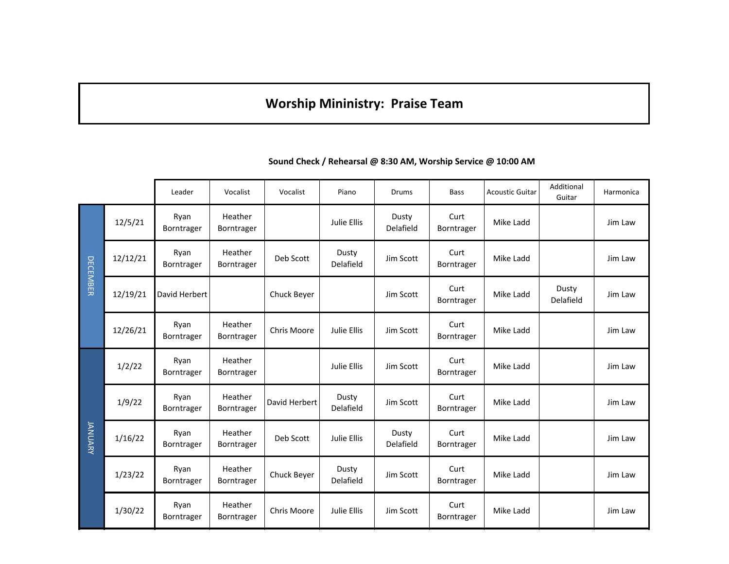## **Worship Mininistry: Praise Team**

|                 |          | Leader             | Vocalist              | Vocalist      | Piano              | <b>Drums</b>       | <b>Bass</b>        | <b>Acoustic Guitar</b> | Additional<br>Guitar | Harmonica |
|-----------------|----------|--------------------|-----------------------|---------------|--------------------|--------------------|--------------------|------------------------|----------------------|-----------|
| <b>DECEMBER</b> | 12/5/21  | Ryan<br>Borntrager | Heather<br>Borntrager |               | Julie Ellis        | Dusty<br>Delafield | Curt<br>Borntrager | Mike Ladd              |                      | Jim Law   |
|                 | 12/12/21 | Ryan<br>Borntrager | Heather<br>Borntrager | Deb Scott     | Dusty<br>Delafield | Jim Scott          | Curt<br>Borntrager | Mike Ladd              |                      | Jim Law   |
|                 | 12/19/21 | David Herbert      |                       | Chuck Beyer   |                    | Jim Scott          | Curt<br>Borntrager | Mike Ladd              | Dusty<br>Delafield   | Jim Law   |
|                 | 12/26/21 | Ryan<br>Borntrager | Heather<br>Borntrager | Chris Moore   | Julie Ellis        | Jim Scott          | Curt<br>Borntrager | Mike Ladd              |                      | Jim Law   |
| <b>JANUARY</b>  | 1/2/22   | Ryan<br>Borntrager | Heather<br>Borntrager |               | Julie Ellis        | Jim Scott          | Curt<br>Borntrager | Mike Ladd              |                      | Jim Law   |
|                 | 1/9/22   | Ryan<br>Borntrager | Heather<br>Borntrager | David Herbert | Dusty<br>Delafield | Jim Scott          | Curt<br>Borntrager | Mike Ladd              |                      | Jim Law   |
|                 | 1/16/22  | Ryan<br>Borntrager | Heather<br>Borntrager | Deb Scott     | Julie Ellis        | Dusty<br>Delafield | Curt<br>Borntrager | Mike Ladd              |                      | Jim Law   |
|                 | 1/23/22  | Ryan<br>Borntrager | Heather<br>Borntrager | Chuck Beyer   | Dusty<br>Delafield | Jim Scott          | Curt<br>Borntrager | Mike Ladd              |                      | Jim Law   |
|                 | 1/30/22  | Ryan<br>Borntrager | Heather<br>Borntrager | Chris Moore   | Julie Ellis        | Jim Scott          | Curt<br>Borntrager | Mike Ladd              |                      | Jim Law   |

**Sound Check / Rehearsal @ 8:30 AM, Worship Service @ 10:00 AM**